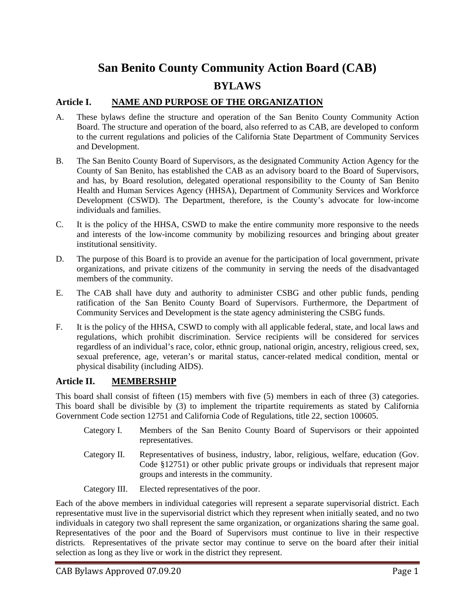# **San Benito County Community Action Board (CAB) BYLAWS**

# **Article I. NAME AND PURPOSE OF THE ORGANIZATION**

- A. These bylaws define the structure and operation of the San Benito County Community Action Board. The structure and operation of the board, also referred to as CAB, are developed to conform to the current regulations and policies of the California State Department of Community Services and Development.
- B. The San Benito County Board of Supervisors, as the designated Community Action Agency for the County of San Benito, has established the CAB as an advisory board to the Board of Supervisors, and has, by Board resolution, delegated operational responsibility to the County of San Benito Health and Human Services Agency (HHSA), Department of Community Services and Workforce Development (CSWD). The Department, therefore, is the County's advocate for low-income individuals and families.
- C. It is the policy of the HHSA, CSWD to make the entire community more responsive to the needs and interests of the low-income community by mobilizing resources and bringing about greater institutional sensitivity.
- D. The purpose of this Board is to provide an avenue for the participation of local government, private organizations, and private citizens of the community in serving the needs of the disadvantaged members of the community.
- E. The CAB shall have duty and authority to administer CSBG and other public funds, pending ratification of the San Benito County Board of Supervisors. Furthermore, the Department of Community Services and Development is the state agency administering the CSBG funds.
- F. It is the policy of the HHSA, CSWD to comply with all applicable federal, state, and local laws and regulations, which prohibit discrimination. Service recipients will be considered for services regardless of an individual's race, color, ethnic group, national origin, ancestry, religious creed, sex, sexual preference, age, veteran's or marital status, cancer-related medical condition, mental or physical disability (including AIDS).

## **Article II. MEMBERSHIP**

This board shall consist of fifteen (15) members with five (5) members in each of three (3) categories. This board shall be divisible by (3) to implement the tripartite requirements as stated by California Government Code section 12751 and California Code of Regulations, title 22, section 100605.

- Category I. Members of the San Benito County Board of Supervisors or their appointed representatives.
- Category II. Representatives of business, industry, labor, religious, welfare, education (Gov. Code §12751) or other public private groups or individuals that represent major groups and interests in the community.

Category III. Elected representatives of the poor.

Each of the above members in individual categories will represent a separate supervisorial district. Each representative must live in the supervisorial district which they represent when initially seated, and no two individuals in category two shall represent the same organization, or organizations sharing the same goal. Representatives of the poor and the Board of Supervisors must continue to live in their respective districts. Representatives of the private sector may continue to serve on the board after their initial selection as long as they live or work in the district they represent.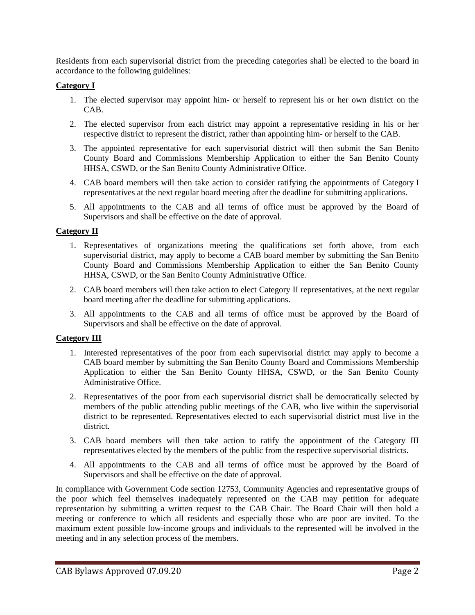Residents from each supervisorial district from the preceding categories shall be elected to the board in accordance to the following guidelines:

#### **Category I**

- 1. The elected supervisor may appoint him- or herself to represent his or her own district on the CAB.
- 2. The elected supervisor from each district may appoint a representative residing in his or her respective district to represent the district, rather than appointing him- or herself to the CAB.
- 3. The appointed representative for each supervisorial district will then submit the San Benito County Board and Commissions Membership Application to either the San Benito County HHSA, CSWD, or the San Benito County Administrative Office.
- 4. CAB board members will then take action to consider ratifying the appointments of Category I representatives at the next regular board meeting after the deadline for submitting applications.
- 5. All appointments to the CAB and all terms of office must be approved by the Board of Supervisors and shall be effective on the date of approval.

#### **Category II**

- 1. Representatives of organizations meeting the qualifications set forth above, from each supervisorial district, may apply to become a CAB board member by submitting the San Benito County Board and Commissions Membership Application to either the San Benito County HHSA, CSWD, or the San Benito County Administrative Office.
- 2. CAB board members will then take action to elect Category II representatives, at the next regular board meeting after the deadline for submitting applications.
- 3. All appointments to the CAB and all terms of office must be approved by the Board of Supervisors and shall be effective on the date of approval.

#### **Category III**

- 1. Interested representatives of the poor from each supervisorial district may apply to become a CAB board member by submitting the San Benito County Board and Commissions Membership Application to either the San Benito County HHSA, CSWD, or the San Benito County Administrative Office.
- 2. Representatives of the poor from each supervisorial district shall be democratically selected by members of the public attending public meetings of the CAB, who live within the supervisorial district to be represented. Representatives elected to each supervisorial district must live in the district.
- 3. CAB board members will then take action to ratify the appointment of the Category III representatives elected by the members of the public from the respective supervisorial districts.
- 4. All appointments to the CAB and all terms of office must be approved by the Board of Supervisors and shall be effective on the date of approval.

In compliance with Government Code section 12753, Community Agencies and representative groups of the poor which feel themselves inadequately represented on the CAB may petition for adequate representation by submitting a written request to the CAB Chair. The Board Chair will then hold a meeting or conference to which all residents and especially those who are poor are invited. To the maximum extent possible low-income groups and individuals to the represented will be involved in the meeting and in any selection process of the members.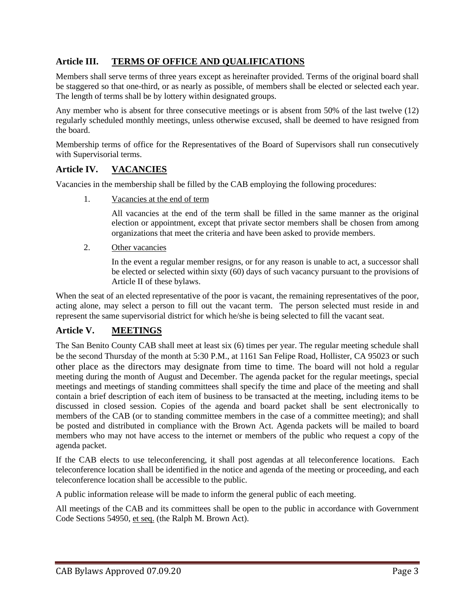# **Article III. TERMS OF OFFICE AND QUALIFICATIONS**

Members shall serve terms of three years except as hereinafter provided. Terms of the original board shall be staggered so that one-third, or as nearly as possible, of members shall be elected or selected each year. The length of terms shall be by lottery within designated groups.

Any member who is absent for three consecutive meetings or is absent from 50% of the last twelve (12) regularly scheduled monthly meetings, unless otherwise excused, shall be deemed to have resigned from the board.

Membership terms of office for the Representatives of the Board of Supervisors shall run consecutively with Supervisorial terms.

#### **Article IV. VACANCIES**

Vacancies in the membership shall be filled by the CAB employing the following procedures:

1. Vacancies at the end of term

All vacancies at the end of the term shall be filled in the same manner as the original election or appointment, except that private sector members shall be chosen from among organizations that meet the criteria and have been asked to provide members.

2. Other vacancies

In the event a regular member resigns, or for any reason is unable to act, a successor shall be elected or selected within sixty (60) days of such vacancy pursuant to the provisions of Article II of these bylaws.

When the seat of an elected representative of the poor is vacant, the remaining representatives of the poor, acting alone, may select a person to fill out the vacant term. The person selected must reside in and represent the same supervisorial district for which he/she is being selected to fill the vacant seat.

## **Article V. MEETINGS**

The San Benito County CAB shall meet at least six (6) times per year. The regular meeting schedule shall be the second Thursday of the month at 5:30 P.M., at 1161 San Felipe Road, Hollister, CA 95023 or such other place as the directors may designate from time to time. The board will not hold a regular meeting during the month of August and December. The agenda packet for the regular meetings, special meetings and meetings of standing committees shall specify the time and place of the meeting and shall contain a brief description of each item of business to be transacted at the meeting, including items to be discussed in closed session. Copies of the agenda and board packet shall be sent electronically to members of the CAB (or to standing committee members in the case of a committee meeting); and shall be posted and distributed in compliance with the Brown Act. Agenda packets will be mailed to board members who may not have access to the internet or members of the public who request a copy of the agenda packet.

If the CAB elects to use teleconferencing, it shall post agendas at all teleconference locations. Each teleconference location shall be identified in the notice and agenda of the meeting or proceeding, and each teleconference location shall be accessible to the public.

A public information release will be made to inform the general public of each meeting.

All meetings of the CAB and its committees shall be open to the public in accordance with Government Code Sections 54950, et seq. (the Ralph M. Brown Act).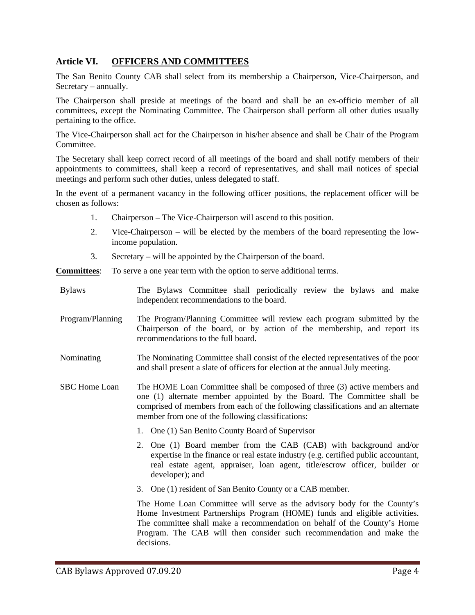# **Article VI. OFFICERS AND COMMITTEES**

The San Benito County CAB shall select from its membership a Chairperson, Vice-Chairperson, and Secretary – annually.

The Chairperson shall preside at meetings of the board and shall be an ex-officio member of all committees, except the Nominating Committee. The Chairperson shall perform all other duties usually pertaining to the office.

The Vice-Chairperson shall act for the Chairperson in his/her absence and shall be Chair of the Program Committee.

The Secretary shall keep correct record of all meetings of the board and shall notify members of their appointments to committees, shall keep a record of representatives, and shall mail notices of special meetings and perform such other duties, unless delegated to staff.

In the event of a permanent vacancy in the following officer positions, the replacement officer will be chosen as follows:

- 1. Chairperson The Vice-Chairperson will ascend to this position.
- 2. Vice-Chairperson will be elected by the members of the board representing the lowincome population.
- 3. Secretary will be appointed by the Chairperson of the board.

**Committees**: To serve a one year term with the option to serve additional terms.

- Bylaws The Bylaws Committee shall periodically review the bylaws and make independent recommendations to the board.
- Program/Planning The Program/Planning Committee will review each program submitted by the Chairperson of the board, or by action of the membership, and report its recommendations to the full board.
- Nominating The Nominating Committee shall consist of the elected representatives of the poor and shall present a slate of officers for election at the annual July meeting.
- SBC Home Loan The HOME Loan Committee shall be composed of three (3) active members and one (1) alternate member appointed by the Board. The Committee shall be comprised of members from each of the following classifications and an alternate member from one of the following classifications:
	- 1. One (1) San Benito County Board of Supervisor
	- 2. One (1) Board member from the CAB (CAB) with background and/or expertise in the finance or real estate industry (e.g. certified public accountant, real estate agent, appraiser, loan agent, title/escrow officer, builder or developer); and
	- 3. One (1) resident of San Benito County or a CAB member.

The Home Loan Committee will serve as the advisory body for the County's Home Investment Partnerships Program (HOME) funds and eligible activities. The committee shall make a recommendation on behalf of the County's Home Program. The CAB will then consider such recommendation and make the decisions.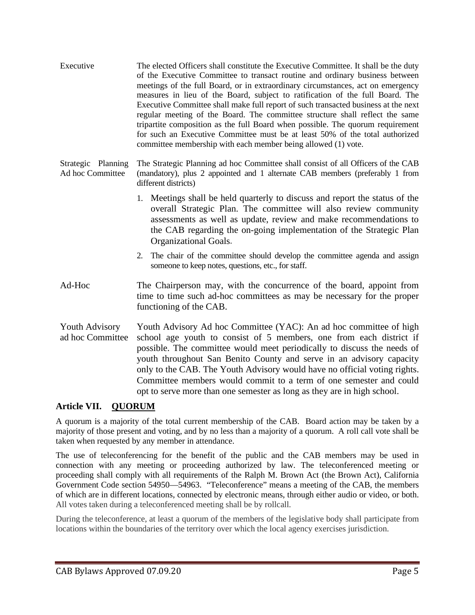Executive The elected Officers shall constitute the Executive Committee. It shall be the duty of the Executive Committee to transact routine and ordinary business between meetings of the full Board, or in extraordinary circumstances, act on emergency measures in lieu of the Board, subject to ratification of the full Board. The Executive Committee shall make full report of such transacted business at the next regular meeting of the Board. The committee structure shall reflect the same tripartite composition as the full Board when possible. The quorum requirement for such an Executive Committee must be at least 50% of the total authorized committee membership with each member being allowed (1) vote.

Strategic Planning Ad hoc Committee The Strategic Planning ad hoc Committee shall consist of all Officers of the CAB (mandatory), plus 2 appointed and 1 alternate CAB members (preferably 1 from different districts)

- 1. Meetings shall be held quarterly to discuss and report the status of the overall Strategic Plan. The committee will also review community assessments as well as update, review and make recommendations to the CAB regarding the on-going implementation of the Strategic Plan Organizational Goals.
- 2. The chair of the committee should develop the committee agenda and assign someone to keep notes, questions, etc., for staff.
- Ad-Hoc The Chairperson may, with the concurrence of the board, appoint from time to time such ad-hoc committees as may be necessary for the proper functioning of the CAB.
- Youth Advisory ad hoc Committee Youth Advisory Ad hoc Committee (YAC): An ad hoc committee of high school age youth to consist of 5 members, one from each district if possible. The committee would meet periodically to discuss the needs of youth throughout San Benito County and serve in an advisory capacity only to the CAB. The Youth Advisory would have no official voting rights. Committee members would commit to a term of one semester and could opt to serve more than one semester as long as they are in high school.

# **Article VII. QUORUM**

A quorum is a majority of the total current membership of the CAB. Board action may be taken by a majority of those present and voting, and by no less than a majority of a quorum. A roll call vote shall be taken when requested by any member in attendance.

The use of teleconferencing for the benefit of the public and the CAB members may be used in connection with any meeting or proceeding authorized by law. The teleconferenced meeting or proceeding shall comply with all requirements of the Ralph M. Brown Act (the Brown Act), California Government Code section 54950—54963. "Teleconference" means a meeting of the CAB, the members of which are in different locations, connected by electronic means, through either audio or video, or both. All votes taken during a teleconferenced meeting shall be by rollcall.

During the teleconference, at least a quorum of the members of the legislative body shall participate from locations within the boundaries of the territory over which the local agency exercises jurisdiction.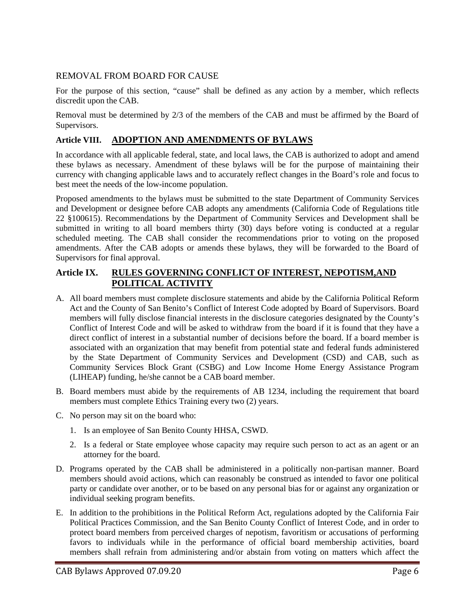#### REMOVAL FROM BOARD FOR CAUSE

For the purpose of this section, "cause" shall be defined as any action by a member, which reflects discredit upon the CAB.

Removal must be determined by 2/3 of the members of the CAB and must be affirmed by the Board of Supervisors.

#### **Article VIII. ADOPTION AND AMENDMENTS OF BYLAWS**

In accordance with all applicable federal, state, and local laws, the CAB is authorized to adopt and amend these bylaws as necessary. Amendment of these bylaws will be for the purpose of maintaining their currency with changing applicable laws and to accurately reflect changes in the Board's role and focus to best meet the needs of the low-income population.

Proposed amendments to the bylaws must be submitted to the state Department of Community Services and Development or designee before CAB adopts any amendments (California Code of Regulations title 22 §100615). Recommendations by the Department of Community Services and Development shall be submitted in writing to all board members thirty (30) days before voting is conducted at a regular scheduled meeting. The CAB shall consider the recommendations prior to voting on the proposed amendments. After the CAB adopts or amends these bylaws, they will be forwarded to the Board of Supervisors for final approval.

## **Article IX. RULES GOVERNING CONFLICT OF INTEREST, NEPOTISM,AND POLITICAL ACTIVITY**

- A. All board members must complete disclosure statements and abide by the California Political Reform Act and the County of San Benito's Conflict of Interest Code adopted by Board of Supervisors. Board members will fully disclose financial interests in the disclosure categories designated by the County's Conflict of Interest Code and will be asked to withdraw from the board if it is found that they have a direct conflict of interest in a substantial number of decisions before the board. If a board member is associated with an organization that may benefit from potential state and federal funds administered by the State Department of Community Services and Development (CSD) and CAB, such as Community Services Block Grant (CSBG) and Low Income Home Energy Assistance Program (LIHEAP) funding, he/she cannot be a CAB board member.
- B. Board members must abide by the requirements of AB 1234, including the requirement that board members must complete Ethics Training every two (2) years.
- C. No person may sit on the board who:
	- 1. Is an employee of San Benito County HHSA, CSWD.
	- 2. Is a federal or State employee whose capacity may require such person to act as an agent or an attorney for the board.
- D. Programs operated by the CAB shall be administered in a politically non-partisan manner. Board members should avoid actions, which can reasonably be construed as intended to favor one political party or candidate over another, or to be based on any personal bias for or against any organization or individual seeking program benefits.
- E. In addition to the prohibitions in the Political Reform Act, regulations adopted by the California Fair Political Practices Commission, and the San Benito County Conflict of Interest Code, and in order to protect board members from perceived charges of nepotism, favoritism or accusations of performing favors to individuals while in the performance of official board membership activities, board members shall refrain from administering and/or abstain from voting on matters which affect the